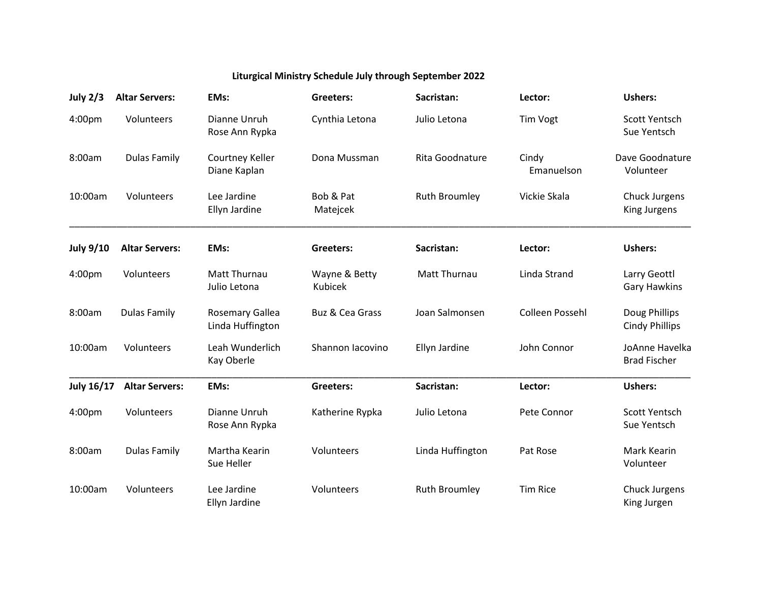## **Liturgical Ministry Schedule July through September 2022**

| July $2/3$        | <b>Altar Servers:</b> | EMs:                                       | Greeters:                       | Sacristan:           | Lector:             | <b>Ushers:</b>                         |
|-------------------|-----------------------|--------------------------------------------|---------------------------------|----------------------|---------------------|----------------------------------------|
| 4:00pm            | Volunteers            | Dianne Unruh<br>Rose Ann Rypka             | Cynthia Letona                  | Julio Letona         | <b>Tim Vogt</b>     | <b>Scott Yentsch</b><br>Sue Yentsch    |
| 8:00am            | <b>Dulas Family</b>   | Courtney Keller<br>Diane Kaplan            | Dona Mussman                    | Rita Goodnature      | Cindy<br>Emanuelson | Dave Goodnature<br>Volunteer           |
| 10:00am           | Volunteers            | Lee Jardine<br>Ellyn Jardine               | Bob & Pat<br>Matejcek           | <b>Ruth Broumley</b> | Vickie Skala        | Chuck Jurgens<br>King Jurgens          |
| <b>July 9/10</b>  | <b>Altar Servers:</b> | EMs:                                       | Greeters:                       | Sacristan:           | Lector:             | <b>Ushers:</b>                         |
| 4:00pm            | Volunteers            | <b>Matt Thurnau</b><br>Julio Letona        | Wayne & Betty<br><b>Kubicek</b> | <b>Matt Thurnau</b>  | Linda Strand        | Larry Geottl<br><b>Gary Hawkins</b>    |
| 8:00am            | <b>Dulas Family</b>   | <b>Rosemary Gallea</b><br>Linda Huffington | Buz & Cea Grass                 | Joan Salmonsen       | Colleen Possehl     | Doug Phillips<br><b>Cindy Phillips</b> |
| 10:00am           | Volunteers            | Leah Wunderlich<br>Kay Oberle              | Shannon Iacovino                | Ellyn Jardine        | John Connor         | JoAnne Havelka<br><b>Brad Fischer</b>  |
| <b>July 16/17</b> | <b>Altar Servers:</b> | EMs:                                       | Greeters:                       | Sacristan:           | Lector:             | <b>Ushers:</b>                         |
| 4:00pm            | Volunteers            | Dianne Unruh<br>Rose Ann Rypka             | Katherine Rypka                 | Julio Letona         | Pete Connor         | <b>Scott Yentsch</b><br>Sue Yentsch    |
| 8:00am            | <b>Dulas Family</b>   | Martha Kearin<br>Sue Heller                | Volunteers                      | Linda Huffington     | Pat Rose            | Mark Kearin<br>Volunteer               |
| 10:00am           | Volunteers            | Lee Jardine<br>Ellyn Jardine               | Volunteers                      | <b>Ruth Broumley</b> | <b>Tim Rice</b>     | Chuck Jurgens<br>King Jurgen           |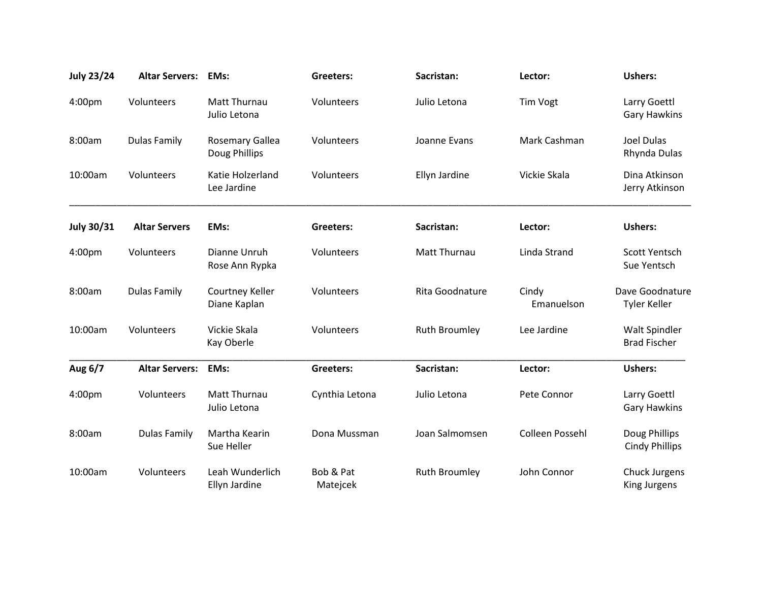| <b>July 23/24</b> | <b>Altar Servers:</b> | EMs:                                    | <b>Greeters:</b>      | Sacristan:           | Lector:             | <b>Ushers:</b>                         |
|-------------------|-----------------------|-----------------------------------------|-----------------------|----------------------|---------------------|----------------------------------------|
| 4:00pm            | Volunteers            | Matt Thurnau<br>Julio Letona            | Volunteers            | Julio Letona         | Tim Vogt            | Larry Goettl<br><b>Gary Hawkins</b>    |
| 8:00am            | <b>Dulas Family</b>   | <b>Rosemary Gallea</b><br>Doug Phillips | Volunteers            | Joanne Evans         | Mark Cashman        | Joel Dulas<br>Rhynda Dulas             |
| 10:00am           | Volunteers            | Katie Holzerland<br>Lee Jardine         | Volunteers            | Ellyn Jardine        | Vickie Skala        | Dina Atkinson<br>Jerry Atkinson        |
| <b>July 30/31</b> | <b>Altar Servers</b>  | EMs:                                    | <b>Greeters:</b>      | Sacristan:           | Lector:             | <b>Ushers:</b>                         |
| 4:00pm            | Volunteers            | Dianne Unruh<br>Rose Ann Rypka          | Volunteers            | Matt Thurnau         | Linda Strand        | Scott Yentsch<br>Sue Yentsch           |
| 8:00am            | <b>Dulas Family</b>   | Courtney Keller<br>Diane Kaplan         | Volunteers            | Rita Goodnature      | Cindy<br>Emanuelson | Dave Goodnature<br><b>Tyler Keller</b> |
| 10:00am           | Volunteers            | Vickie Skala<br>Kay Oberle              | Volunteers            | <b>Ruth Broumley</b> | Lee Jardine         | Walt Spindler<br><b>Brad Fischer</b>   |
| Aug 6/7           | <b>Altar Servers:</b> | EMs:                                    | <b>Greeters:</b>      | Sacristan:           | Lector:             | <b>Ushers:</b>                         |
| 4:00pm            | Volunteers            | <b>Matt Thurnau</b><br>Julio Letona     | Cynthia Letona        | Julio Letona         | Pete Connor         | Larry Goettl<br><b>Gary Hawkins</b>    |
| 8:00am            | <b>Dulas Family</b>   | Martha Kearin<br>Sue Heller             | Dona Mussman          | Joan Salmomsen       | Colleen Possehl     | Doug Phillips<br><b>Cindy Phillips</b> |
| 10:00am           | Volunteers            | Leah Wunderlich<br>Ellyn Jardine        | Bob & Pat<br>Matejcek | <b>Ruth Broumley</b> | John Connor         | Chuck Jurgens<br>King Jurgens          |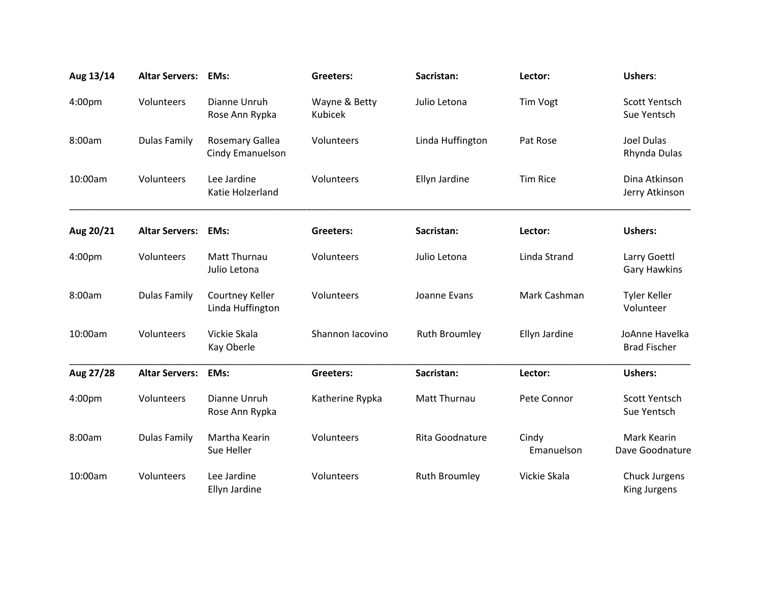| Aug 13/14 | <b>Altar Servers:</b> | EMs:                                       | <b>Greeters:</b>                | Sacristan:           | Lector:             | Ushers:                               |
|-----------|-----------------------|--------------------------------------------|---------------------------------|----------------------|---------------------|---------------------------------------|
| 4:00pm    | Volunteers            | Dianne Unruh<br>Rose Ann Rypka             | Wayne & Betty<br><b>Kubicek</b> | Julio Letona         | Tim Vogt            | Scott Yentsch<br>Sue Yentsch          |
| 8:00am    | <b>Dulas Family</b>   | <b>Rosemary Gallea</b><br>Cindy Emanuelson | Volunteers                      | Linda Huffington     | Pat Rose            | <b>Joel Dulas</b><br>Rhynda Dulas     |
| 10:00am   | Volunteers            | Lee Jardine<br>Katie Holzerland            | Volunteers                      | Ellyn Jardine        | Tim Rice            | Dina Atkinson<br>Jerry Atkinson       |
| Aug 20/21 | <b>Altar Servers:</b> | EMs:                                       | <b>Greeters:</b>                | Sacristan:           | Lector:             | <b>Ushers:</b>                        |
| 4:00pm    | Volunteers            | Matt Thurnau<br>Julio Letona               | Volunteers                      | Julio Letona         | Linda Strand        | Larry Goettl<br><b>Gary Hawkins</b>   |
| 8:00am    | <b>Dulas Family</b>   | Courtney Keller<br>Linda Huffington        | Volunteers                      | Joanne Evans         | Mark Cashman        | <b>Tyler Keller</b><br>Volunteer      |
| 10:00am   | Volunteers            | Vickie Skala<br>Kay Oberle                 | Shannon Iacovino                | <b>Ruth Broumley</b> | Ellyn Jardine       | JoAnne Havelka<br><b>Brad Fischer</b> |
| Aug 27/28 | <b>Altar Servers:</b> | EMs:                                       | Greeters:                       | Sacristan:           | Lector:             | <b>Ushers:</b>                        |
| 4:00pm    | Volunteers            | Dianne Unruh<br>Rose Ann Rypka             | Katherine Rypka                 | Matt Thurnau         | Pete Connor         | <b>Scott Yentsch</b><br>Sue Yentsch   |
| 8:00am    | <b>Dulas Family</b>   | Martha Kearin<br>Sue Heller                | Volunteers                      | Rita Goodnature      | Cindy<br>Emanuelson | Mark Kearin<br>Dave Goodnature        |
| 10:00am   | Volunteers            | Lee Jardine<br>Ellyn Jardine               | Volunteers                      | <b>Ruth Broumley</b> | Vickie Skala        | <b>Chuck Jurgens</b><br>King Jurgens  |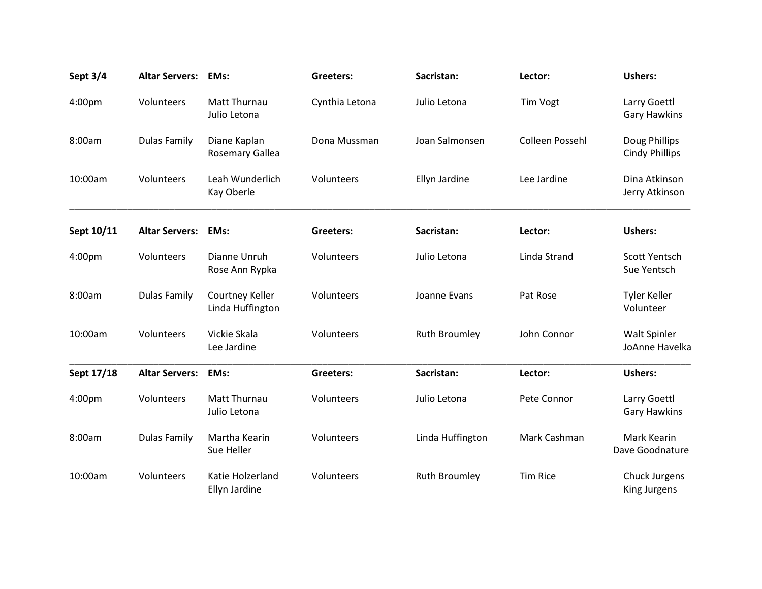| Sept 3/4   | <b>Altar Servers:</b> | EMs:                                   | <b>Greeters:</b> | Sacristan:           | Lector:                | <b>Ushers:</b>                         |
|------------|-----------------------|----------------------------------------|------------------|----------------------|------------------------|----------------------------------------|
| 4:00pm     | Volunteers            | Matt Thurnau<br>Julio Letona           | Cynthia Letona   | Julio Letona         | <b>Tim Vogt</b>        | Larry Goettl<br><b>Gary Hawkins</b>    |
| 8:00am     | <b>Dulas Family</b>   | Diane Kaplan<br><b>Rosemary Gallea</b> | Dona Mussman     | Joan Salmonsen       | <b>Colleen Possehl</b> | Doug Phillips<br><b>Cindy Phillips</b> |
| 10:00am    | Volunteers            | Leah Wunderlich<br>Kay Oberle          | Volunteers       | Ellyn Jardine        | Lee Jardine            | Dina Atkinson<br>Jerry Atkinson        |
| Sept 10/11 | <b>Altar Servers:</b> | <b>EMs:</b>                            | <b>Greeters:</b> | Sacristan:           | Lector:                | <b>Ushers:</b>                         |
| 4:00pm     | Volunteers            | Dianne Unruh<br>Rose Ann Rypka         | Volunteers       | Julio Letona         | Linda Strand           | Scott Yentsch<br>Sue Yentsch           |
| 8:00am     | <b>Dulas Family</b>   | Courtney Keller<br>Linda Huffington    | Volunteers       | Joanne Evans         | Pat Rose               | Tyler Keller<br>Volunteer              |
| 10:00am    | Volunteers            | Vickie Skala<br>Lee Jardine            | Volunteers       | <b>Ruth Broumley</b> | John Connor            | <b>Walt Spinler</b><br>JoAnne Havelka  |
| Sept 17/18 | <b>Altar Servers:</b> | EMs:                                   | <b>Greeters:</b> | Sacristan:           | Lector:                | <b>Ushers:</b>                         |
| 4:00pm     | Volunteers            | <b>Matt Thurnau</b><br>Julio Letona    | Volunteers       | Julio Letona         | Pete Connor            | Larry Goettl<br><b>Gary Hawkins</b>    |
| 8:00am     | <b>Dulas Family</b>   | Martha Kearin<br>Sue Heller            | Volunteers       | Linda Huffington     | Mark Cashman           | Mark Kearin<br>Dave Goodnature         |
| 10:00am    | Volunteers            | Katie Holzerland<br>Ellyn Jardine      | Volunteers       | <b>Ruth Broumley</b> | <b>Tim Rice</b>        | Chuck Jurgens<br>King Jurgens          |